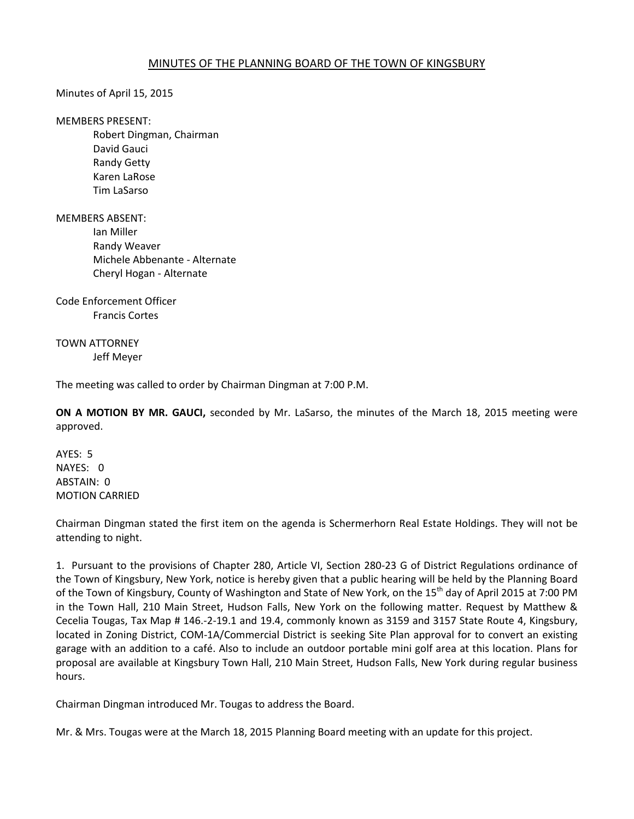## MINUTES OF THE PLANNING BOARD OF THE TOWN OF KINGSBURY

Minutes of April 15, 2015

MEMBERS PRESENT:

 Robert Dingman, Chairman David Gauci Randy Getty Karen LaRose Tim LaSarso

MEMBERS ABSENT:

 Ian Miller Randy Weaver Michele Abbenante - Alternate Cheryl Hogan - Alternate

Code Enforcement Officer Francis Cortes

TOWN ATTORNEY Jeff Meyer

The meeting was called to order by Chairman Dingman at 7:00 P.M.

**ON A MOTION BY MR. GAUCI,** seconded by Mr. LaSarso, the minutes of the March 18, 2015 meeting were approved.

AYES: 5 NAYES: 0 ABSTAIN: 0 MOTION CARRIED

Chairman Dingman stated the first item on the agenda is Schermerhorn Real Estate Holdings. They will not be attending to night.

1. Pursuant to the provisions of Chapter 280, Article VI, Section 280-23 G of District Regulations ordinance of the Town of Kingsbury, New York, notice is hereby given that a public hearing will be held by the Planning Board of the Town of Kingsbury, County of Washington and State of New York, on the 15<sup>th</sup> day of April 2015 at 7:00 PM in the Town Hall, 210 Main Street, Hudson Falls, New York on the following matter. Request by Matthew & Cecelia Tougas, Tax Map # 146.-2-19.1 and 19.4, commonly known as 3159 and 3157 State Route 4, Kingsbury, located in Zoning District, COM-1A/Commercial District is seeking Site Plan approval for to convert an existing garage with an addition to a café. Also to include an outdoor portable mini golf area at this location. Plans for proposal are available at Kingsbury Town Hall, 210 Main Street, Hudson Falls, New York during regular business hours.

Chairman Dingman introduced Mr. Tougas to address the Board.

Mr. & Mrs. Tougas were at the March 18, 2015 Planning Board meeting with an update for this project.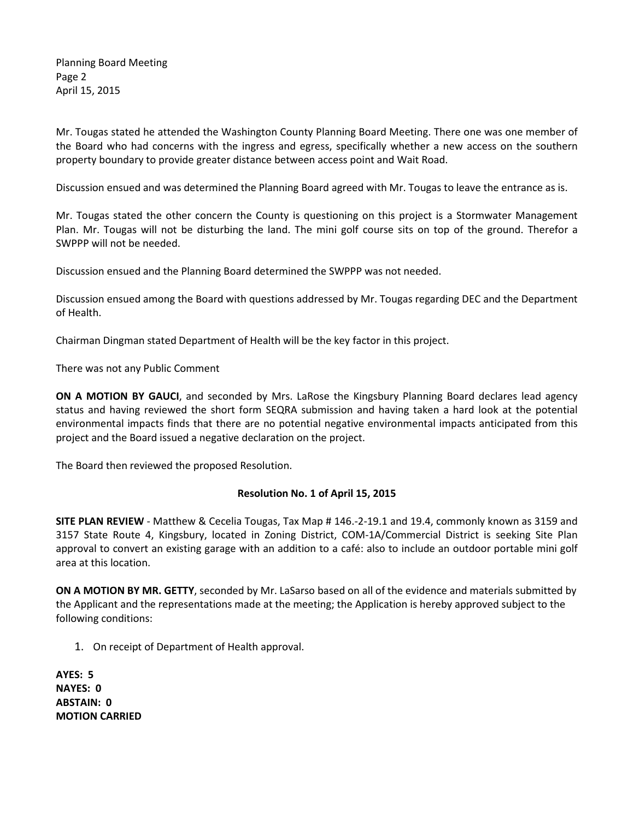Planning Board Meeting Page 2 April 15, 2015

Mr. Tougas stated he attended the Washington County Planning Board Meeting. There one was one member of the Board who had concerns with the ingress and egress, specifically whether a new access on the southern property boundary to provide greater distance between access point and Wait Road.

Discussion ensued and was determined the Planning Board agreed with Mr. Tougas to leave the entrance as is.

Mr. Tougas stated the other concern the County is questioning on this project is a Stormwater Management Plan. Mr. Tougas will not be disturbing the land. The mini golf course sits on top of the ground. Therefor a SWPPP will not be needed.

Discussion ensued and the Planning Board determined the SWPPP was not needed.

Discussion ensued among the Board with questions addressed by Mr. Tougas regarding DEC and the Department of Health.

Chairman Dingman stated Department of Health will be the key factor in this project.

There was not any Public Comment

**ON A MOTION BY GAUCI**, and seconded by Mrs. LaRose the Kingsbury Planning Board declares lead agency status and having reviewed the short form SEQRA submission and having taken a hard look at the potential environmental impacts finds that there are no potential negative environmental impacts anticipated from this project and the Board issued a negative declaration on the project.

The Board then reviewed the proposed Resolution.

## **Resolution No. 1 of April 15, 2015**

**SITE PLAN REVIEW** - Matthew & Cecelia Tougas, Tax Map # 146.-2-19.1 and 19.4, commonly known as 3159 and 3157 State Route 4, Kingsbury, located in Zoning District, COM-1A/Commercial District is seeking Site Plan approval to convert an existing garage with an addition to a café: also to include an outdoor portable mini golf area at this location.

**ON A MOTION BY MR. GETTY**, seconded by Mr. LaSarso based on all of the evidence and materials submitted by the Applicant and the representations made at the meeting; the Application is hereby approved subject to the following conditions:

1. On receipt of Department of Health approval.

**AYES: 5 NAYES: 0 ABSTAIN: 0 MOTION CARRIED**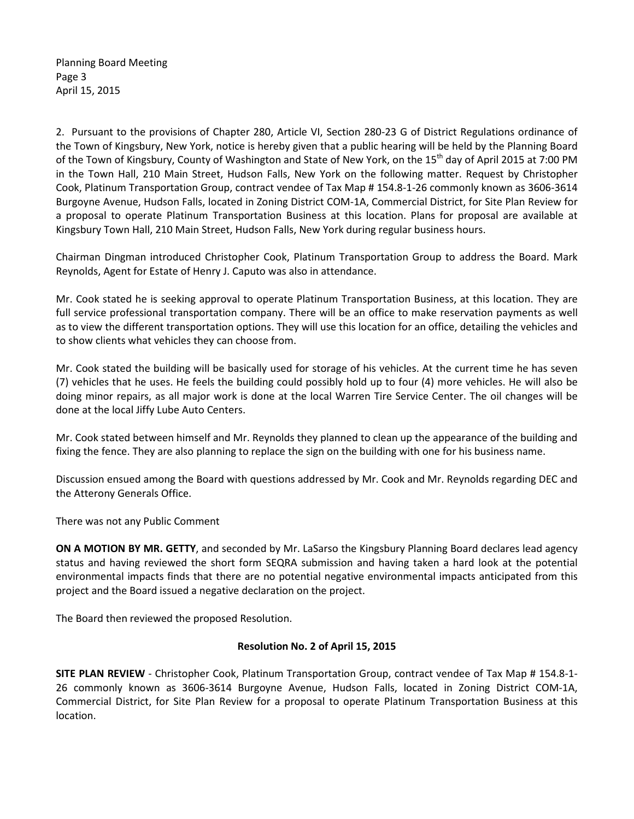Planning Board Meeting Page 3 April 15, 2015

2. Pursuant to the provisions of Chapter 280, Article VI, Section 280-23 G of District Regulations ordinance of the Town of Kingsbury, New York, notice is hereby given that a public hearing will be held by the Planning Board of the Town of Kingsbury, County of Washington and State of New York, on the 15<sup>th</sup> day of April 2015 at 7:00 PM in the Town Hall, 210 Main Street, Hudson Falls, New York on the following matter. Request by Christopher Cook, Platinum Transportation Group, contract vendee of Tax Map # 154.8-1-26 commonly known as 3606-3614 Burgoyne Avenue, Hudson Falls, located in Zoning District COM-1A, Commercial District, for Site Plan Review for a proposal to operate Platinum Transportation Business at this location. Plans for proposal are available at Kingsbury Town Hall, 210 Main Street, Hudson Falls, New York during regular business hours.

Chairman Dingman introduced Christopher Cook, Platinum Transportation Group to address the Board. Mark Reynolds, Agent for Estate of Henry J. Caputo was also in attendance.

Mr. Cook stated he is seeking approval to operate Platinum Transportation Business, at this location. They are full service professional transportation company. There will be an office to make reservation payments as well as to view the different transportation options. They will use this location for an office, detailing the vehicles and to show clients what vehicles they can choose from.

Mr. Cook stated the building will be basically used for storage of his vehicles. At the current time he has seven (7) vehicles that he uses. He feels the building could possibly hold up to four (4) more vehicles. He will also be doing minor repairs, as all major work is done at the local Warren Tire Service Center. The oil changes will be done at the local Jiffy Lube Auto Centers.

Mr. Cook stated between himself and Mr. Reynolds they planned to clean up the appearance of the building and fixing the fence. They are also planning to replace the sign on the building with one for his business name.

Discussion ensued among the Board with questions addressed by Mr. Cook and Mr. Reynolds regarding DEC and the Atterony Generals Office.

There was not any Public Comment

**ON A MOTION BY MR. GETTY**, and seconded by Mr. LaSarso the Kingsbury Planning Board declares lead agency status and having reviewed the short form SEQRA submission and having taken a hard look at the potential environmental impacts finds that there are no potential negative environmental impacts anticipated from this project and the Board issued a negative declaration on the project.

The Board then reviewed the proposed Resolution.

## **Resolution No. 2 of April 15, 2015**

**SITE PLAN REVIEW** - Christopher Cook, Platinum Transportation Group, contract vendee of Tax Map # 154.8-1- 26 commonly known as 3606-3614 Burgoyne Avenue, Hudson Falls, located in Zoning District COM-1A, Commercial District, for Site Plan Review for a proposal to operate Platinum Transportation Business at this location.